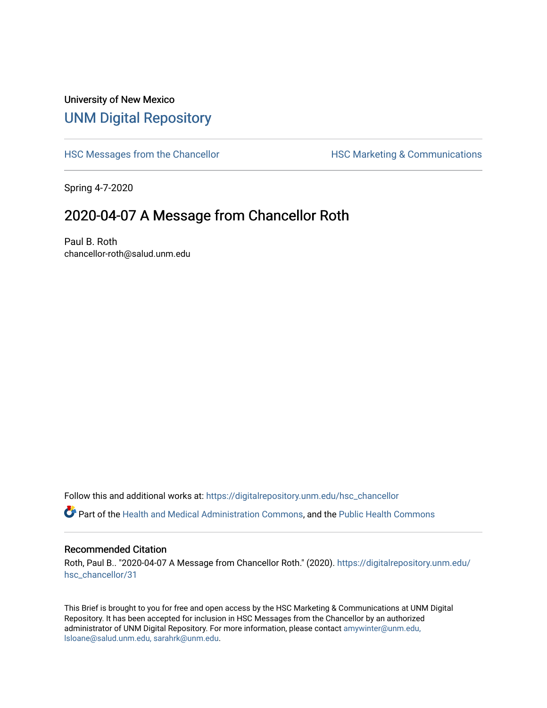## University of New Mexico [UNM Digital Repository](https://digitalrepository.unm.edu/)

[HSC Messages from the Chancellor](https://digitalrepository.unm.edu/hsc_chancellor) **HSC Marketing & Communications** 

Spring 4-7-2020

## 2020-04-07 A Message from Chancellor Roth

Paul B. Roth chancellor-roth@salud.unm.edu

Follow this and additional works at: [https://digitalrepository.unm.edu/hsc\\_chancellor](https://digitalrepository.unm.edu/hsc_chancellor?utm_source=digitalrepository.unm.edu%2Fhsc_chancellor%2F31&utm_medium=PDF&utm_campaign=PDFCoverPages) 

Part of the [Health and Medical Administration Commons](http://network.bepress.com/hgg/discipline/663?utm_source=digitalrepository.unm.edu%2Fhsc_chancellor%2F31&utm_medium=PDF&utm_campaign=PDFCoverPages), and the [Public Health Commons](http://network.bepress.com/hgg/discipline/738?utm_source=digitalrepository.unm.edu%2Fhsc_chancellor%2F31&utm_medium=PDF&utm_campaign=PDFCoverPages) 

## Recommended Citation

Roth, Paul B.. "2020-04-07 A Message from Chancellor Roth." (2020). [https://digitalrepository.unm.edu/](https://digitalrepository.unm.edu/hsc_chancellor/31?utm_source=digitalrepository.unm.edu%2Fhsc_chancellor%2F31&utm_medium=PDF&utm_campaign=PDFCoverPages) [hsc\\_chancellor/31](https://digitalrepository.unm.edu/hsc_chancellor/31?utm_source=digitalrepository.unm.edu%2Fhsc_chancellor%2F31&utm_medium=PDF&utm_campaign=PDFCoverPages) 

This Brief is brought to you for free and open access by the HSC Marketing & Communications at UNM Digital Repository. It has been accepted for inclusion in HSC Messages from the Chancellor by an authorized administrator of UNM Digital Repository. For more information, please contact [amywinter@unm.edu,](mailto:amywinter@unm.edu,%20lsloane@salud.unm.edu,%20sarahrk@unm.edu) [lsloane@salud.unm.edu, sarahrk@unm.edu.](mailto:amywinter@unm.edu,%20lsloane@salud.unm.edu,%20sarahrk@unm.edu)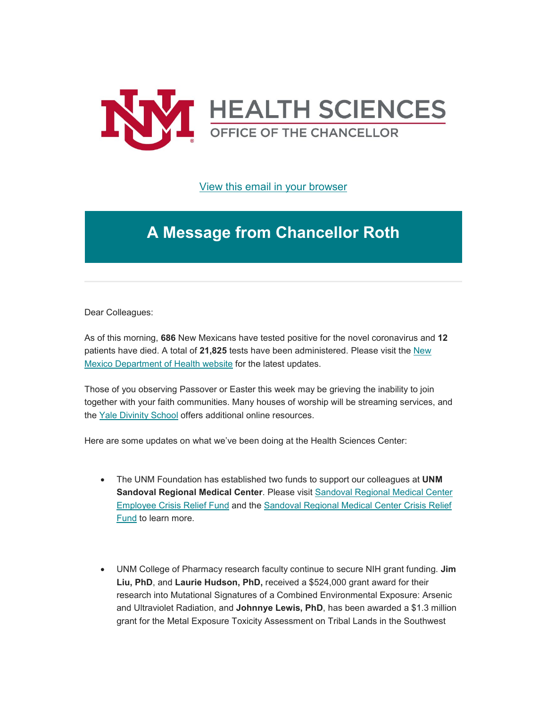

[View this email in your browser](https://mailchi.mp/21d769079edf/message-from-the-chancellor-coronavirus-4374860?e=b4bbfca2c0)

## **A Message from Chancellor Roth**

Dear Colleagues:

As of this morning, **686** New Mexicans have tested positive for the novel coronavirus and **12** patients have died. A total of **21,825** tests have been administered. Please visit the [New](https://unm.us19.list-manage.com/track/click?u=59ce53c1a4dedb490bac78648&id=9d092620cf&e=b4bbfca2c0)  [Mexico Department of Health website](https://unm.us19.list-manage.com/track/click?u=59ce53c1a4dedb490bac78648&id=9d092620cf&e=b4bbfca2c0) for the latest updates.

Those of you observing Passover or Easter this week may be grieving the inability to join together with your faith communities. Many houses of worship will be streaming services, and the [Yale Divinity School](https://unm.us19.list-manage.com/track/click?u=59ce53c1a4dedb490bac78648&id=f4393512cf&e=b4bbfca2c0) offers additional online resources.

Here are some updates on what we've been doing at the Health Sciences Center:

- The UNM Foundation has established two funds to support our colleagues at **UNM Sandoval Regional Medical Center**. Please visit [Sandoval Regional Medical Center](https://unm.us19.list-manage.com/track/click?u=59ce53c1a4dedb490bac78648&id=cc84c8bf2d&e=b4bbfca2c0)  [Employee Crisis Relief Fund](https://unm.us19.list-manage.com/track/click?u=59ce53c1a4dedb490bac78648&id=cc84c8bf2d&e=b4bbfca2c0) and the [Sandoval Regional Medical Center Crisis Relief](https://unm.us19.list-manage.com/track/click?u=59ce53c1a4dedb490bac78648&id=d054b4f37a&e=b4bbfca2c0)  [Fund](https://unm.us19.list-manage.com/track/click?u=59ce53c1a4dedb490bac78648&id=d054b4f37a&e=b4bbfca2c0) to learn more.
- UNM College of Pharmacy research faculty continue to secure NIH grant funding. **Jim Liu, PhD**, and **Laurie Hudson, PhD,** received a \$524,000 grant award for their research into Mutational Signatures of a Combined Environmental Exposure: Arsenic and Ultraviolet Radiation, and **Johnnye Lewis, PhD**, has been awarded a \$1.3 million grant for the Metal Exposure Toxicity Assessment on Tribal Lands in the Southwest